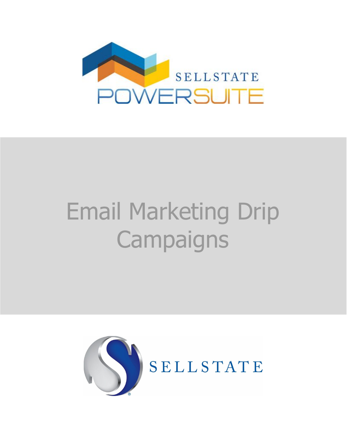

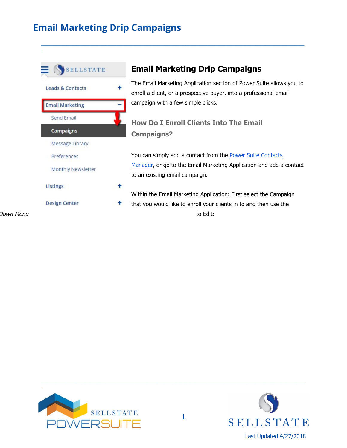



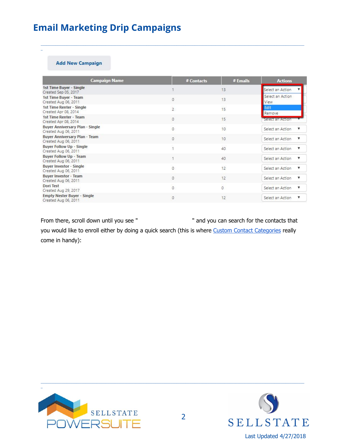#### **Add New Campaign**

\_

| <b>Campaign Name</b>                                           | # Contacts     | # Emails | <b>Actions</b>           |
|----------------------------------------------------------------|----------------|----------|--------------------------|
| 1st Time Buyer - Single<br>Created Sep 05, 2017                |                | 13       | Select an Action         |
| 1st Time Buyer - Team<br>Created Aug 06, 2011                  | 0              | 13       | Select an Action<br>View |
| 1st Time Renter - Single<br>Created Apr 08, 2014               | $\overline{2}$ | 15       | Edit<br>Remove           |
| 1st Time Renter - Team<br>Created Apr 08, 2014                 | 0              | 15       | <b>Selection Action</b>  |
| <b>Buyer Anniversary Plan - Single</b><br>Created Aug 06, 2011 | 0              | 10       | Select an Action         |
| <b>Buyer Anniversary Plan - Team</b><br>Created Aug 06, 2011   | 0              | 10       | Select an Action         |
| <b>Buyer Follow Up - Single</b><br>Created Aug 06, 2011        |                | 40       | Select an Action<br>▼    |
| <b>Buyer Follow Up - Team</b><br>Created Aug 06, 2011          |                | 40       | Select an Action<br>v    |
| <b>Buyer Investor - Single</b><br>Created Aug 06, 2011         | $\Omega$       | 12       | Select an Action<br>v    |
| <b>Buyer Investor - Team</b><br>Created Aug 06, 2011           | 0              | 12       | Select an Action<br>v    |
| Dori Test<br>Created Aug 29, 2017                              | 0              | 0        | Select an Action<br>▼    |
| <b>Empty Nester Buyer - Single</b><br>Created Aug 06, 2011     | 0              | 12       | Select an Action         |

\_\_\_\_\_\_\_\_\_\_\_\_\_\_\_\_\_\_\_\_\_\_\_\_\_\_\_\_\_\_\_\_\_\_\_\_\_\_\_\_\_\_\_\_\_\_\_\_\_\_\_\_\_\_\_\_\_\_\_\_\_\_\_\_\_\_\_\_\_\_\_\_\_\_\_\_\_\_\_\_\_\_\_\_\_\_\_\_\_\_\_\_\_\_\_\_\_\_\_\_\_\_\_\_\_\_\_\_\_\_\_\_\_\_\_\_\_\_\_\_\_\_\_\_\_\_\_\_\_\_\_\_\_\_\_\_\_\_\_\_\_\_

From there, scroll down until you see " " " and you can search for the contacts that you would like to enroll either by doing a quick search (this is where Custom Contact [Categories](https://sites.google.com/dominionenterprises.com/power-suite-resource-center/learning-101/leads-and-contacts/custom-contact-categories) really come in handy):



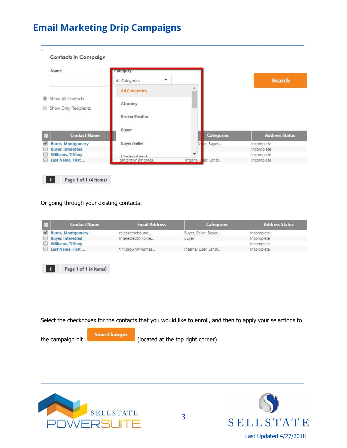| <b>Contacts in Campaign</b>                          |                       |                      |                   |                          |
|------------------------------------------------------|-----------------------|----------------------|-------------------|--------------------------|
| <b>Name</b>                                          | Category              |                      |                   |                          |
|                                                      | All Categories        |                      |                   | <b>Search</b>            |
|                                                      | <b>All Categories</b> |                      |                   |                          |
| Show All Contacts<br>Show Only Recipients            | Attorney              |                      |                   |                          |
|                                                      | <b>Broker/Realtor</b> |                      |                   |                          |
| <b>Contact Name</b>                                  | Buyer                 |                      | <b>Categories</b> | <b>Address Status</b>    |
| <b>Burns, Montgomery</b><br><b>Buyer, Interested</b> | Buyer/Seller          | Бe                   | er, Buyer         | Incomplete<br>Incomplete |
| <b>Williams, Tiffany</b>                             | Closing Agent         |                      |                   | Incomplete               |
| Last Name, First                                     | tim.brown@homes       | Internal User, Landl |                   | Incomplete               |

Or going through your existing contacts:

Page 1 of 1 (4 items)

| <b>Contact Name</b>      | <b>Email Address</b> | <b>Categories</b>    | <b>Address Status</b> |
|--------------------------|----------------------|----------------------|-----------------------|
| <b>Burns, Montgomery</b> | releasethehound      | Buyer, Seller, Buyer | Incomplete            |
| <b>Buyer, Interested</b> | Interested@Home      | Buyer                | Incomplete            |
| <b>Williams, Tiffany</b> |                      |                      | Incomplete            |
| Last Name, First         | tim.brown@homes      | Internal User, Landl | Incomplete            |



 $\vert 1 \vert$ 

Select the checkboxes for the contacts that you would like to enroll, and then to apply your selections to

the campaign hit **Save Changes** (located at the top right corner)



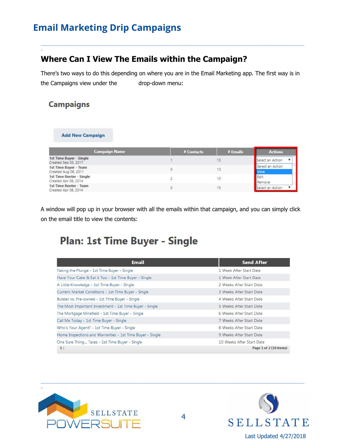#### **Where Can I View The Emails within the Campaign?**

There's two ways to do this depending on where you are in the Email Marketing app. The first way is in the Campaigns view under the drop-down menu:

\_\_\_\_\_\_\_\_\_\_\_\_\_\_\_\_\_\_\_\_\_\_\_\_\_\_\_\_\_\_\_\_\_\_\_\_\_\_\_\_\_\_\_\_\_\_\_\_\_\_\_\_\_\_\_\_\_\_\_\_\_\_\_\_\_\_\_\_\_\_\_\_\_\_\_\_\_\_\_\_\_\_\_\_\_\_\_\_\_\_\_\_\_\_\_\_\_\_\_\_\_\_\_\_\_\_\_\_\_\_\_\_\_\_\_\_\_\_\_\_\_\_\_\_\_\_\_\_\_\_\_\_\_\_\_\_\_\_\_\_\_\_

#### **Campaigns**

\_

**Add New Campaign** 

| <b>Campaign Name</b>                             | # Emails<br># Contacts | <b>Actions</b>                  |
|--------------------------------------------------|------------------------|---------------------------------|
| 1st Time Buyer - Single<br>Created Sep 05, 2017  |                        | Select an Action                |
| 1st Time Buyer - Team<br>Created Aug 06, 2011    |                        | Select an Action<br><b>View</b> |
| 1st Time Renter - Single<br>Created Apr 08, 2014 |                        | Edit<br>Remove                  |
| 1st Time Renter - Team<br>Created Apr 08, 2014   |                        | Select an Action                |

A window will pop up in your browser with all the emails within that campaign, and you can simply click on the email title to view the contents:

## **Plan: 1st Time Buyer - Single**

| <b>Email</b>                                              | <b>Send After</b>         |
|-----------------------------------------------------------|---------------------------|
| Taking the Plunge - 1st Time Buyer - Single               | 1 Week After Start Date   |
| Have Your Cake & Eat it Too - 1st Time Buyer - Single     | 1 Week After Start Date   |
| A Little Knowledge - 1st Time Buyer - Single              | 2 Weeks After Start Date  |
| Current Market Conditions - 1st Time Buyer - Single       | 3 Weeks After Start Date  |
| Builder vs. Pre-owned - 1st Time Buyer - Single           | 4 Weeks After Start Date  |
| The Most Important Investment - 1st Time Buyer - Single   | 5 Weeks After Start Date  |
| The Mortgage Minefield - 1st Time Buyer - Single          | 6 Weeks After Start Date  |
| Call Me Today - 1st Time Buyer - Single                   | 7 Weeks After Start Date  |
| Who's Your Agent? - 1st Time Buyer - Single               | 8 Weeks After Start Date  |
| Home Inspections and Warranties - 1st Time Buyer - Single | 9 Weeks After Start Date  |
| One Sure Thing Taxes - 1st Time Buyer - Single            | 10 Weeks After Start Date |
| 12                                                        | Page 1 of 2 (16 items)    |



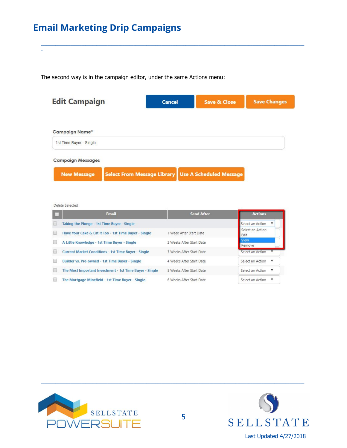The second way is in the campaign editor, under the same Actions menu:

| <b>Edit Campaign</b>     |                                                       | <b>Cancel</b> | <b>Save &amp; Close</b> | <b>Save Changes</b> |
|--------------------------|-------------------------------------------------------|---------------|-------------------------|---------------------|
|                          |                                                       |               |                         |                     |
| <b>Campaign Name*</b>    |                                                       |               |                         |                     |
| 1st Time Buyer - Single  |                                                       |               |                         |                     |
| <b>Campaign Messages</b> |                                                       |               |                         |                     |
| <b>New Message</b>       | Select From Message Library   Use A Scheduled Message |               |                         |                     |

Delete Selected

|   | <b>Fmail</b>                                               | <b>Send After</b>        | <b>Actions</b>           |
|---|------------------------------------------------------------|--------------------------|--------------------------|
|   | Taking the Plunge - 1st Time Buyer - Single                |                          | Select an Action         |
| ⊟ | Have Your Cake & Eat it Too - 1st Time Buyer - Single      | 1 Week After Start Date  | Select an Action<br>Edit |
| - | A Little Knowledge - 1st Time Buyer - Single               | 2 Weeks After Start Date | View<br>Remove           |
| □ | <b>Current Market Conditions - 1st Time Buyer - Single</b> | 3 Weeks After Start Date | Select an Action         |
| ▬ | <b>Builder vs. Pre-owned - 1st Time Buyer - Single</b>     | 4 Weeks After Start Date | Select an Action<br>▼    |
| ⊏ | The Most Important Investment - 1st Time Buyer - Single    | 5 Weeks After Start Date | Select an Action<br>▼    |
|   | The Mortgage Minefield - 1st Time Buyer - Single           | 6 Weeks After Start Date | Select an Action<br>▼    |



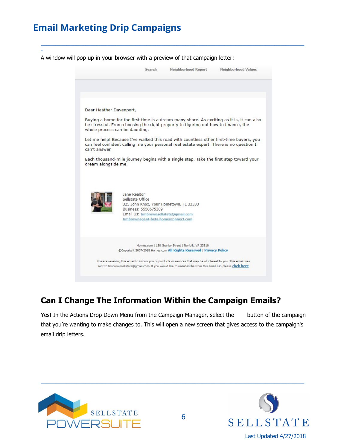\_

A window will pop up in your browser with a preview of that campaign letter:



\_\_\_\_\_\_\_\_\_\_\_\_\_\_\_\_\_\_\_\_\_\_\_\_\_\_\_\_\_\_\_\_\_\_\_\_\_\_\_\_\_\_\_\_\_\_\_\_\_\_\_\_\_\_\_\_\_\_\_\_\_\_\_\_\_\_\_\_\_\_\_\_\_\_\_\_\_\_\_\_\_\_\_\_\_\_\_\_\_\_\_\_\_\_\_\_\_\_\_\_\_\_\_\_\_\_\_\_\_\_\_\_\_\_\_\_\_\_\_\_\_\_\_\_\_\_\_\_\_\_\_\_\_\_\_\_\_\_\_\_\_\_

### **Can I Change The Information Within the Campaign Emails?**

Yes! In the Actions Drop Down Menu from the Campaign Manager, select the button of the campaign that you're wanting to make changes to. This will open a new screen that gives access to the campaign's email drip letters.



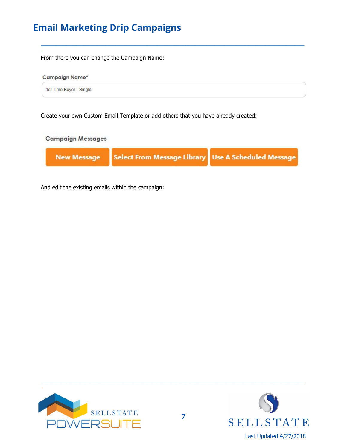From there you can change the Campaign Name:

\_



\_\_\_\_\_\_\_\_\_\_\_\_\_\_\_\_\_\_\_\_\_\_\_\_\_\_\_\_\_\_\_\_\_\_\_\_\_\_\_\_\_\_\_\_\_\_\_\_\_\_\_\_\_\_\_\_\_\_\_\_\_\_\_\_\_\_\_\_\_\_\_\_\_\_\_\_\_\_\_\_\_\_\_\_\_\_\_\_\_\_\_\_\_\_\_\_\_\_\_\_\_\_\_\_\_\_\_\_\_\_\_\_\_\_\_\_\_\_\_\_\_\_\_\_\_\_\_\_\_\_\_\_\_\_\_\_\_\_\_\_\_\_

Create your own Custom Email Template or add others that you have already created:



And edit the existing emails within the campaign: